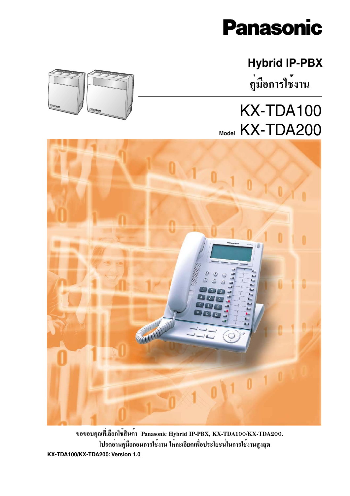

## **Hybrid IP-PBX** คู่มือการใช<sup>้</sup>งาน

## KX-TDA100 Model KX-TDA200



ขอขอบคุณที่เลือกใช<sup>้</sup>สินค<sup>้</sup>า Panasonic Hybrid IP-PBX, KX-TDA100/KX-TDA200. ์<br>โปรดอานคู่มือกอนการใช**้งาน ให**้ละเอียดเพื่อประโยชน์ในการใช**้งานสูงสุด** KX-TDA100/KX-TDA200: Version 1.0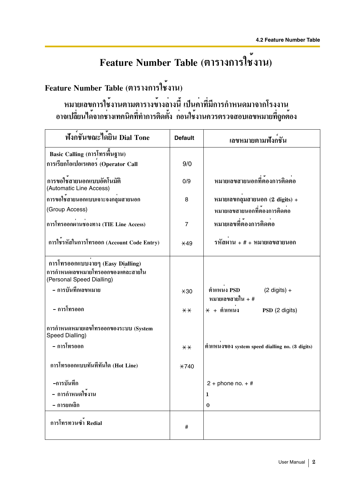## Feature Number Table (ตารางการใช้งาน)

## Feature Number Table (ตารางการใช<sup>้</sup>งาน)

หมายเลขการใช้งานตามตารางข้างล่างนี้ เป็นค่าที่มีการกำหนดมาจากโรงงาน<br>อาจเปลี่ยนได้จากช่างเทคนิคที่ทำการติดตั้ง ก่อนใช้งานควรตรวจสอบเลขหมายที่ถูกต้อง

| ฟังก <sup>์</sup> ชันขณะได <sup>้</sup> ยิน Dial Tone                                               | <b>Default</b> | ้เลขหมายตามฟังกชัน                                         |
|-----------------------------------------------------------------------------------------------------|----------------|------------------------------------------------------------|
| Basic Calling (การโทรพื้นฐาน)                                                                       |                |                                                            |
| การเรียกโอเปอเรเตอร (Operator Call                                                                  | 9/0            |                                                            |
| การขอใช้สายนอกแบบอัตโนมัติ<br>(Automatic Line Access)                                               | 0/9            | หมายเลขสายนอกที่ต้องการติดต่อ                              |
| การขอใช้สายนอกแบบเจาะจงกลุมสายนอก                                                                   | 8              | หมายเลขกลุมสายนอก $(2 \text{ digits}) +$                   |
| (Group Access)                                                                                      |                | หมายเลขสายนอกที่ต้องการติดต่อ                              |
| การโทรออกผานชองทาง (TIE Line Access)                                                                | $\overline{7}$ | หมายเลขที่ต้องการติดต่อ                                    |
| การใชรหัสในการโทรออก (Account Code Entry)                                                           | $*49$          | รหัสผ <sup>่</sup> าน + # + หมายเลขสายนอก                  |
| การโทรออกแบบงายๆ (Easy Dialling)<br>การกำหนดเลขหมายโทรออกของแต่ละสายใน<br>(Personal Speed Dialling) |                |                                                            |
| - การบันทึกเลขหมาย                                                                                  | $*30$          | ตำแหนง PSD<br>$(2 \text{ digits}) +$<br>หมายเลขสายใน + $#$ |
| - การโทรออก                                                                                         | $**$           | $*$ + ตำแหนง<br>PSD (2 digits)                             |
| การกำหนดหมายเลขโทรออกของระบบ (System<br>Speed Dialling)                                             |                |                                                            |
| - การโทรออก                                                                                         | $* *$          | ตำแหนงของ system speed dialling no. (3 digits)             |
| การโทรออกแบบทันทีทันใด (Hot Line)                                                                   | $*740$         |                                                            |
| -การบันทึก                                                                                          |                | $2 +$ phone no. $+$ #                                      |
| - การกำหนดใช <sup>้</sup> งาน                                                                       |                | 1                                                          |
| – การยกเลิก                                                                                         |                | $\bf{0}$                                                   |
| การโทรทวนซ้ำ Redial                                                                                 | #              |                                                            |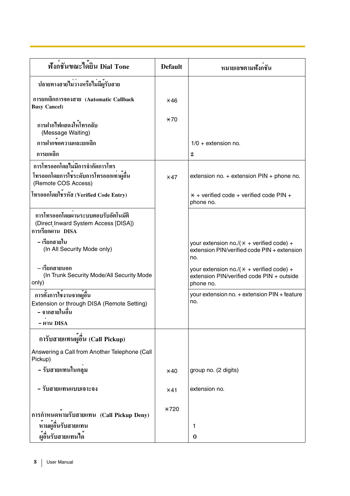| ฟังก <sup>ู้</sup> ชันขณะได <sup>้</sup> ยิน Dial Tone                                          | <b>Default</b> | หมายเลขตามฟังกชัน                                                                                          |
|-------------------------------------------------------------------------------------------------|----------------|------------------------------------------------------------------------------------------------------------|
| ปลายทางสายไม่ว่างหรือไม่มีผู้รับสาย                                                             |                |                                                                                                            |
| การยกเลิกการจองสาย (Automatic Callback<br><b>Busy Cancel)</b>                                   | $*46$          |                                                                                                            |
| การฝากไฟแสดงใหโทรกลับ<br>(Message Waiting)                                                      | $*70$          |                                                                                                            |
| การฝากขอความและยกเลิก                                                                           |                | $1/0$ + extension no.                                                                                      |
| การยกเลิก                                                                                       |                | $\bf{2}$                                                                                                   |
| การโทรออกโดยไม่มีการจำกัดการโทร                                                                 |                |                                                                                                            |
| โทรออกโดยการใช้ระดับการโทรออกเท่าผู้อื่น<br>(Remote COS Access)                                 | $*47$          | extension no. $+$ extension PIN $+$ phone no.                                                              |
| โทรออกโดยใชรหัส (Verified Code Entry)                                                           |                | $*$ + verified code + verified code PIN +<br>phone no.                                                     |
| การโทรออกโดยผ่านระบบตอบรับอัตโนมัติ<br>(Direct Inward System Access [DISA])<br>การเรียกผาน DISA |                |                                                                                                            |
| – เรียกสายใน<br>(In All Security Mode only)                                                     |                | your extension no./ $(\times +$ verified code) +<br>extension PIN/verified code PIN + extension<br>no.     |
| – เรียกสายนอก<br>(In Trunk Security Mode/All Security Mode<br>only)                             |                | your extension no./ $(\times +$ verified code) +<br>extension PIN/verified code PIN + outside<br>phone no. |
| การตั้งการใช้งานจากผู้อื่น<br>Extension or through DISA (Remote Setting)<br>– จากสายในอื่น      |                | your extension no. + extension PIN + feature<br>no.                                                        |
| - ผาน DISA                                                                                      |                |                                                                                                            |
| การับสายแทนผู้อื่น (Call Pickup)                                                                |                |                                                                                                            |
| Answering a Call from Another Telephone (Call<br>Pickup)                                        |                |                                                                                                            |
| – รับสายแทนในกลุม                                                                               | $*40$          | group no. (2 digits)                                                                                       |
| - รับสายแทนแบบเจาะจง                                                                            | $*41$          | extension no.                                                                                              |
| การกำหนดหามรับสายแทน (Call Pickup Deny)                                                         | $*720$         |                                                                                                            |
| ห้ามผู้อื่นรับสายแทน                                                                            |                | 1                                                                                                          |
| ผู้อื่นรับสายแทนได <sup>้</sup>                                                                 |                | $\bf{0}$                                                                                                   |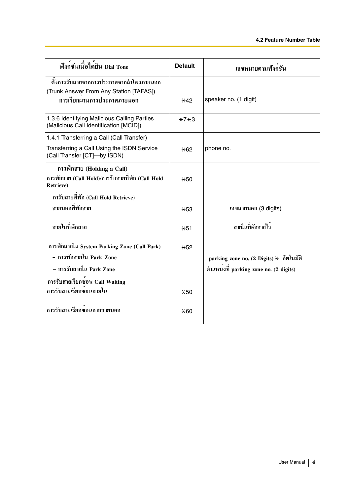| ฟังก <sup>์</sup> ชันเมื่อได <sup>้</sup> ยิน Dial Tone                               | <b>Default</b> | เลขหมายตามฟังกชัน                                   |
|---------------------------------------------------------------------------------------|----------------|-----------------------------------------------------|
| ์ตั้งการรับสายจากการประกาศจากลำโพงภายนอก                                              |                |                                                     |
| (Trunk Answer From Any Station [TAFAS])                                               |                |                                                     |
| การเรียกผานการประกาศภายนอก                                                            | $\times$ 42    | speaker no. (1 digit)                               |
| 1.3.6 Identifying Malicious Calling Parties<br>(Malicious Call Identification [MCID]) | $*7*3$         |                                                     |
| 1.4.1 Transferring a Call (Call Transfer)                                             |                |                                                     |
| Transferring a Call Using the ISDN Service<br>(Call Transfer [CT]-by ISDN)            | $*62$          | phone no.                                           |
| การพักสาย (Holding a Call)                                                            |                |                                                     |
| การพักสาย (Call Hold)/การรับสายที่พัก (Call Hold<br><b>Retrieve)</b>                  | $*50$          |                                                     |
| การับสายที่พัก (Call Hold Retrieve)                                                   |                |                                                     |
| สายนอกที่พักสาย                                                                       | $*53$          | เลขสายนอก (3 digits)                                |
| สายในที่พักสาย                                                                        | $*51$          | สายในที่พักสายไว <sup>้</sup>                       |
| การพักสายใน System Parking Zone (Call Park)                                           | $*52$          |                                                     |
| - การพักสายใน Park Zone                                                               |                | parking zone no. (2 Digits) $\times$ อัตโนมัติ      |
| – การรับสายใน Park Zone                                                               |                | ตำแหน <sup>่</sup> งที่ parking zone no. (2 digits) |
| การรับสายเรียกซอน Call Waiting                                                        |                |                                                     |
| การรับสายเรียกซ์อนสายใน                                                               | $*50$          |                                                     |
| การรับสายเรียกซอนจากสายนอก                                                            | $*60$          |                                                     |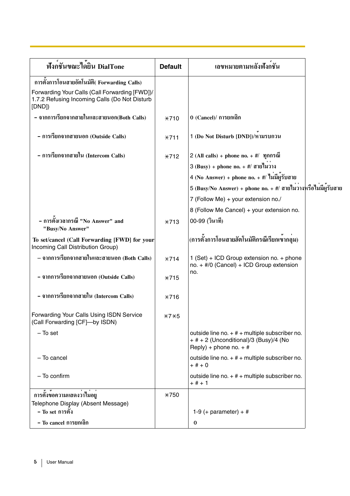| ฟังกชันขณะไดยิน DialTone                                                                                 | <b>Default</b> | ้เลขหมายตามหลังฟังกชัน                                                                                                                                                                                                                              |  |
|----------------------------------------------------------------------------------------------------------|----------------|-----------------------------------------------------------------------------------------------------------------------------------------------------------------------------------------------------------------------------------------------------|--|
| การตั้งการโอนสายอัตโนมัติ(Forwarding Calls)                                                              |                |                                                                                                                                                                                                                                                     |  |
| Forwarding Your Calls (Call Forwarding [FWD])/<br>1.7.2 Refusing Incoming Calls (Do Not Disturb<br>[DND] |                |                                                                                                                                                                                                                                                     |  |
| - จากการเรียกจากสายในและสายนอก(Both Calls)                                                               | $*710$         | 0 (Cancel)/ การยกเลิก                                                                                                                                                                                                                               |  |
| – การเรียกจากสายนอก (Outside Calls)                                                                      | $*711$         | 1 (Do Not Disturb [DND])/หามรบกวน                                                                                                                                                                                                                   |  |
| - การเรียกจากสายใน (Intercom Calls)                                                                      | $*712$         | 2 (All calls) + phone no. $+$ #/ $\eta$ กกรณี<br>$3$ (Busy) + phone no. + #/ ดายไมวาง<br>4 (No Answer) + phone no. + $\#$ / ใม่มีผู้รับสาย<br>5 (Busy/No Answer) + phone no. + #/ สายไมวางหรือไม่มีผู้รับสาย<br>7 (Follow Me) + your extension no./ |  |
|                                                                                                          |                | 8 (Follow Me Cancel) + your extension no.                                                                                                                                                                                                           |  |
| – การตั้งเวลากรณี "No Answer" and<br>"Busy/No Answer"                                                    | $*713$         | 00-99 (วินาที)                                                                                                                                                                                                                                      |  |
| To set/cancel (Call Forwarding [FWD] for your<br>Incoming Call Distribution Group)                       |                | (การตั้งการโอนสายฮัตโนมัติกรณีเรียกเขากลุม)                                                                                                                                                                                                         |  |
| – จากการเรียกจากสายในและสายนอก (Both Calls)                                                              | $*714$         | 1 (Set) + ICD Group extension no. + phone<br>no. $+$ #/0 (Cancel) + ICD Group extension                                                                                                                                                             |  |
| - จากการเรียกจากสายนอก (Outside Calls)                                                                   | $*715$         | no.                                                                                                                                                                                                                                                 |  |
| - จากการเรียกจากสายใน (Intercom Calls)                                                                   | $*716$         |                                                                                                                                                                                                                                                     |  |
| <b>Forwarding Your Calls Using ISDN Service</b><br>(Call Forwarding [CF]-by ISDN)                        | $*7*5$         |                                                                                                                                                                                                                                                     |  |
| $-$ To set                                                                                               |                | outside line no. $+$ # $+$ multiple subscriber no.<br>$+$ # + 2 (Unconditional)/3 (Busy)/4 (No<br>Reply) + phone no. $+$ #                                                                                                                          |  |
| - To cancel                                                                                              |                | outside line no. $+$ # $+$ multiple subscriber no.<br>$+# + 0$                                                                                                                                                                                      |  |
| $-$ To confirm                                                                                           |                | outside line no. $+$ # $+$ multiple subscriber no.<br>$+$ # $+$ 1                                                                                                                                                                                   |  |
| ิการตั้งข้อความแสดงว่าไม่อยู่                                                                            | $*750$         |                                                                                                                                                                                                                                                     |  |
| Telephone Display (Absent Message)                                                                       |                |                                                                                                                                                                                                                                                     |  |
| - To set การตั้ง                                                                                         |                | 1-9 (+ parameter) + $#$                                                                                                                                                                                                                             |  |
| – To cancel การยกเลิก                                                                                    |                | $\bf{0}$                                                                                                                                                                                                                                            |  |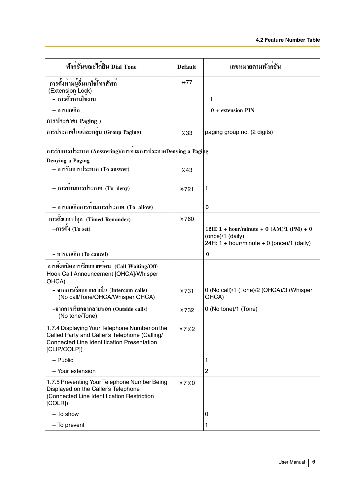| ฟังก <sup>ู้</sup> ชันขณะได <sup>้</sup> ยิน Dial Tone                                                                                                              | <b>Default</b> | ้เลขหมายตามฟังกชัน                                                                                                   |
|---------------------------------------------------------------------------------------------------------------------------------------------------------------------|----------------|----------------------------------------------------------------------------------------------------------------------|
| —<br>การตั้งห <sup>้</sup> ามผู้อื่นมาใช <b>้โทร</b> ศัพท <sup>์</sup><br>(Extension Lock)                                                                          | $*77$          |                                                                                                                      |
| - การตั้งหามใชงาน                                                                                                                                                   |                | 1                                                                                                                    |
| – การยกเลิก                                                                                                                                                         |                | 0 + extension PIN                                                                                                    |
| การประกาศ( Paging)                                                                                                                                                  |                |                                                                                                                      |
| การประกาศในแต่ละกลุม (Group Paging)                                                                                                                                 | $*33$          | paging group no. (2 digits)                                                                                          |
| การรับการประกาศ (Answering)/การหามการประกาศDenying a Paging                                                                                                         |                |                                                                                                                      |
| Denying a Paging                                                                                                                                                    |                |                                                                                                                      |
| – การรับการประกาศ (To answer)                                                                                                                                       | $\pm 43$       |                                                                                                                      |
| – การหามการประกาศ (To deny)                                                                                                                                         | $*721$         | 1                                                                                                                    |
| - การยกเลิกการหามการประกาศ (To allow)                                                                                                                               |                | $\bf{0}$                                                                                                             |
| การตั้งเวลาปลุก (Timed Reminder)                                                                                                                                    | $*760$         |                                                                                                                      |
| $-$ การตั้ง (To set)                                                                                                                                                |                | 12H: $1 + hour/minute + 0 (AM)/1 (PM) + 0$<br>(once)/1 (daily)<br>24H: $1 + \text{hour/minute} + 0$ (once)/1 (daily) |
| - การยกเลิก (To cancel)                                                                                                                                             |                | $\bf{0}$                                                                                                             |
| การตั้งชนิดการเรียกสายซอน (Call Waiting/Off-<br>Hook Call Announcement [OHCA]/Whisper<br>OHCA)                                                                      |                |                                                                                                                      |
| – จากการเรียกจากสายใน (Intercom calls)<br>(No call/Tone/OHCA/Whisper OHCA)                                                                                          | $*731$         | 0 (No call)/1 (Tone)/2 (OHCA)/3 (Whisper<br>OHCA)                                                                    |
| -จากการเรียกจากสายนอก (Outside calls)<br>(No tone/Tone)                                                                                                             | <b>*732</b>    | 0 (No tone)/1 (Tone)                                                                                                 |
| 1.7.4 Displaying Your Telephone Number on the<br>Called Party and Caller's Telephone (Calling/<br><b>Connected Line Identification Presentation</b><br>[CLIP/COLP]) | $*7*2$         |                                                                                                                      |
| $-$ Public                                                                                                                                                          |                | 1                                                                                                                    |
| - Your extension                                                                                                                                                    |                | $\overline{c}$                                                                                                       |
| 1.7.5 Preventing Your Telephone Number Being<br>Displayed on the Caller's Telephone<br>(Connected Line Identification Restriction<br>[COLR]                         | $*7*0$         |                                                                                                                      |
| - To show                                                                                                                                                           |                | 0                                                                                                                    |
| - To prevent                                                                                                                                                        |                | 1                                                                                                                    |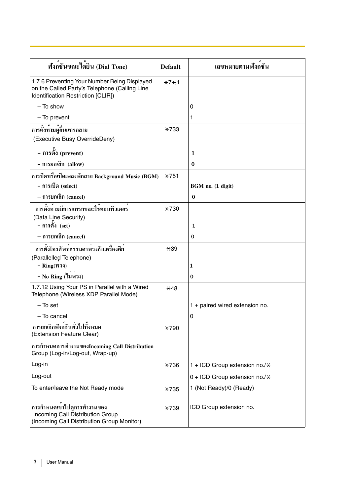| ฟังก <sup>์</sup> ชันขณะได <sup>้</sup> ยิน (Dial Tone)                                                                             | <b>Default</b> | ้เลขหมายตามฟังกชัน                    |
|-------------------------------------------------------------------------------------------------------------------------------------|----------------|---------------------------------------|
| 1.7.6 Preventing Your Number Being Displayed<br>on the Called Party's Telephone (Calling Line<br>Identification Restriction [CLIR]) | $*7*1$         |                                       |
| - To show                                                                                                                           |                | 0                                     |
| - To prevent                                                                                                                        |                | 1                                     |
| การตั้งหามผู้อื่นแทรกสาย<br>(Executive Busy OverrideDeny)                                                                           | $*733$         |                                       |
| - การตั้ง (prevent)                                                                                                                 |                | 1                                     |
| - การยกเลิก (allow)                                                                                                                 |                | $\bf{0}$                              |
| การปิดหรือเปิดเพลงพักสาย Background Music (BGM)                                                                                     | $*751$         |                                       |
| - การเปิด (select)                                                                                                                  |                | BGM no. (1 digit)                     |
| – การยกเลิก (cancel)                                                                                                                |                | $\bf{0}$                              |
| การตั้งหามมีการแทรกขณะใช้คอมพิวเตอร์                                                                                                | $*730$         |                                       |
| (Data Line Security)                                                                                                                |                |                                       |
| - การตั้ง (set)                                                                                                                     |                | 1                                     |
| – การยกเลิก (cancel)                                                                                                                |                | $\bf{0}$                              |
| การตั้งโทรศัพท์ธรรมดาพวงกับเครื่องคีย                                                                                               | $*39$          |                                       |
| (Parallelled Telephone)<br>$-$ Ring(W74)                                                                                            |                | 1                                     |
| - No Ring (ไมพวง)                                                                                                                   |                | $\bf{0}$                              |
| 1.7.12 Using Your PS in Parallel with a Wired<br>Telephone (Wireless XDP Parallel Mode)                                             | $*48$          |                                       |
| $-$ To set                                                                                                                          |                | 1 + paired wired extension no.        |
| - To cancel                                                                                                                         |                | 0                                     |
| การยกเลิกฟังกชันทั่วไปทั้งหมด<br>(Extension Feature Clear)                                                                          | <b>*790</b>    |                                       |
| การกำหนดการทำงานของIncoming Call Distribution<br>Group (Log-in/Log-out, Wrap-up)                                                    |                |                                       |
| Log-in                                                                                                                              | $*736$         | 1 + ICD Group extension no./ $\times$ |
| Log-out                                                                                                                             |                | 0 + ICD Group extension no./ $\times$ |
| To enter/leave the Not Ready mode                                                                                                   | $*735$         | 1 (Not Ready)/0 (Ready)               |
| การกำหนดเขาไปดูการทำงานของ<br>Incoming Call Distribution Group<br>(Incoming Call Distribution Group Monitor)                        | $*739$         | ICD Group extension no.               |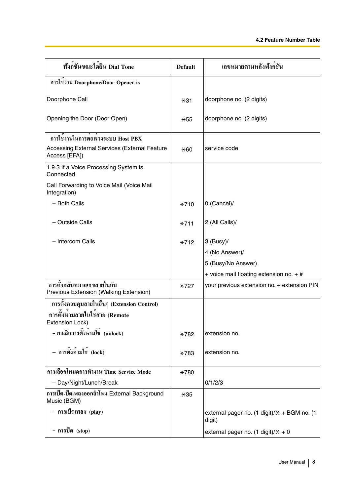| ฟังก <sup>์</sup> ชันขณะได <sup>้</sup> ยิน Dial Tone                 | <b>Default</b> | ้เลขหมายตามหลังฟังกชัน                                   |
|-----------------------------------------------------------------------|----------------|----------------------------------------------------------|
| การใชงาน Doorphone/Door Opener is                                     |                |                                                          |
| Doorphone Call                                                        | $*31$          | doorphone no. (2 digits)                                 |
| Opening the Door (Door Open)                                          | $*55$          | doorphone no. (2 digits)                                 |
| การใช <sup>้</sup> งานในการต่อพวงระบบ Host PBX                        |                |                                                          |
| <b>Accessing External Services (External Feature</b><br>Access [EFA]) | $*60$          | service code                                             |
| 1.9.3 If a Voice Processing System is<br>Connected                    |                |                                                          |
| Call Forwarding to Voice Mail (Voice Mail<br>Integration)             |                |                                                          |
| - Both Calls                                                          | $*710$         | 0 (Cancel)/                                              |
| - Outside Calls                                                       | $*711$         | 2 (All Calls)/                                           |
| - Intercom Calls                                                      | $*712$         | $3$ (Busy)/                                              |
|                                                                       |                | 4 (No Answer)/                                           |
|                                                                       |                | 5 (Busy/No Answer)                                       |
|                                                                       |                | + voice mail floating extension no. + #                  |
| การตั้งสลับหมายเลขสายในกัน<br>Previous Extension (Walking Extension)  | $\star$ 727    | your previous extension no. + extension PIN              |
| การตั้งควบคุมสายในอื่นๆ (Extension Control)                           |                |                                                          |
| การตั้งหามสายในใชสาย (Remote<br><b>Extension Lock)</b>                |                |                                                          |
| - ยกเลิกการตั้งหามใช (unlock)                                         | $*782$         | extension no.                                            |
| - การตั้งห <sup>้</sup> ามใช <sup>้</sup> (lock)                      | $*783$         | extension no.                                            |
| การเลือกโหมดการทำงาน Time Service Mode                                | <b>*780</b>    |                                                          |
| - Day/Night/Lunch/Break                                               |                | 0/1/2/3                                                  |
| การเปิด-ปิดเพลงออกลำโพง External Background<br>Music (BGM)            | $*35$          |                                                          |
| - การเปิดเพลง (play)                                                  |                | external pager no. (1 digit)/ $*$ + BGM no. (1<br>digit) |
| - การปีด (stop)                                                       |                | external pager no. (1 digit)/ $\times$ + 0               |